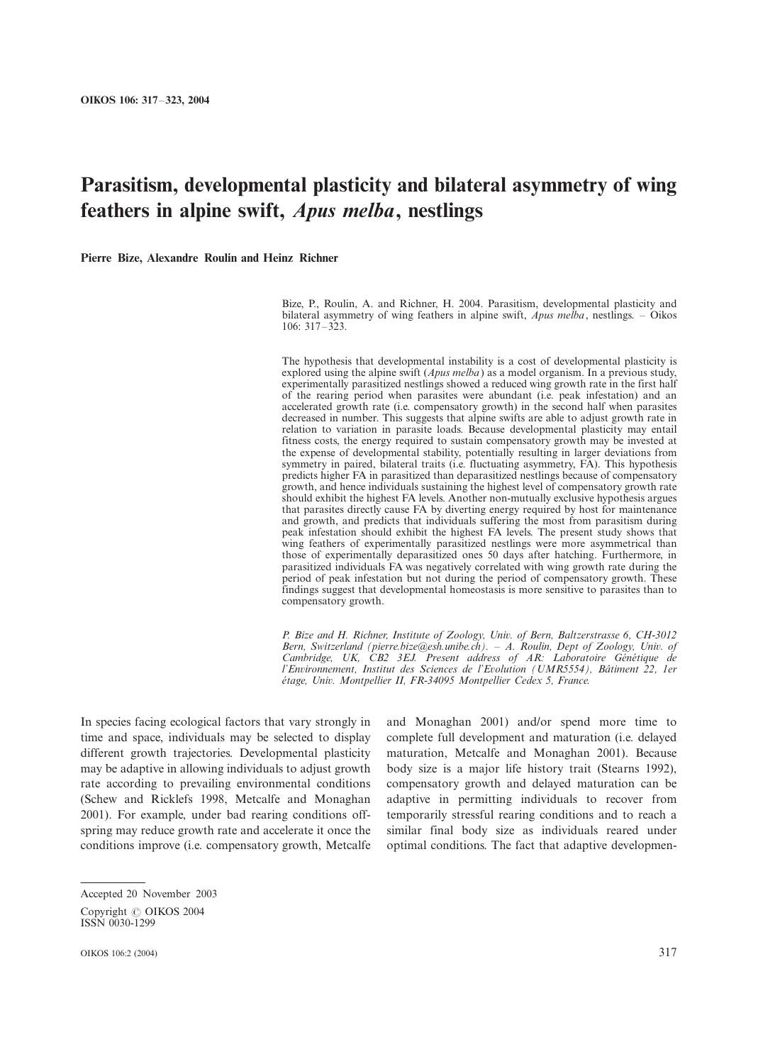# Parasitism, developmental plasticity and bilateral asymmetry of wing feathers in alpine swift, Apus melba, nestlings

Pierre Bize, Alexandre Roulin and Heinz Richner

Bize, P., Roulin, A. and Richner, H. 2004. Parasitism, developmental plasticity and bilateral asymmetry of wing feathers in alpine swift,  $Apus$  melba, nestlings. - Oikos  $106 \cdot 317 - 323$ 

The hypothesis that developmental instability is a cost of developmental plasticity is explored using the alpine swift (*Apus melba*) as a model organism. In a previous study, experimentally parasitized nestlings showed a reduced wing growth rate in the first half of the rearing period when parasites were abundant (i.e. peak infestation) and an accelerated growth rate (i.e. compensatory growth) in the second half when parasites decreased in number. This suggests that alpine swifts are able to adjust growth rate in relation to variation in parasite loads. Because developmental plasticity may entail fitness costs, the energy required to sustain compensatory growth may be invested at the expense of developmental stability, potentially resulting in larger deviations from symmetry in paired, bilateral traits (i.e. fluctuating asymmetry, FA). This hypothesis predicts higher FA in parasitized than deparasitized nestlings because of compensatory growth, and hence individuals sustaining the highest level of compensatory growth rate should exhibit the highest FA levels. Another non-mutually exclusive hypothesis argues that parasites directly cause FA by diverting energy required by host for maintenance and growth, and predicts that individuals suffering the most from parasitism during peak infestation should exhibit the highest FA levels. The present study shows that wing feathers of experimentally parasitized nestlings were more asymmetrical than those of experimentally deparasitized ones 50 days after hatching. Furthermore, in parasitized individuals FA was negatively correlated with wing growth rate during the period of peak infestation but not during the period of compensatory growth. These findings suggest that developmental homeostasis is more sensitive to parasites than to compensatory growth.

P. Bize and H. Richner, Institute of Zoology, Univ. of Bern, Baltzerstrasse 6, CH-3012 Bern, Switzerland (pierre.bize@esh.unibe.ch). - A. Roulin, Dept of Zoology, Univ. of Cambridge, UK, CB2 3EJ. Present address of AR: Laboratoire Génétique de l'Environnement, Institut des Sciences de l'Evolution (UMR5554), Bâtiment 22, 1er étage, Univ. Montpellier II, FR-34095 Montpellier Cedex 5, France.

In species facing ecological factors that vary strongly in time and space, individuals may be selected to display different growth trajectories. Developmental plasticity may be adaptive in allowing individuals to adjust growth rate according to prevailing environmental conditions (Schew and Ricklefs 1998, Metcalfe and Monaghan 2001). For example, under bad rearing conditions offspring may reduce growth rate and accelerate it once the conditions improve (i.e. compensatory growth, Metcalfe

and Monaghan 2001) and/or spend more time to complete full development and maturation (i.e. delayed maturation, Metcalfe and Monaghan 2001). Because body size is a major life history trait (Stearns 1992), compensatory growth and delayed maturation can be adaptive in permitting individuals to recover from temporarily stressful rearing conditions and to reach a similar final body size as individuals reared under optimal conditions. The fact that adaptive developmen-

Accepted 20 November 2003 Copyright © OIKOS 2004 ISSN 0030-1299

OIKOS 106:2 (2004) 317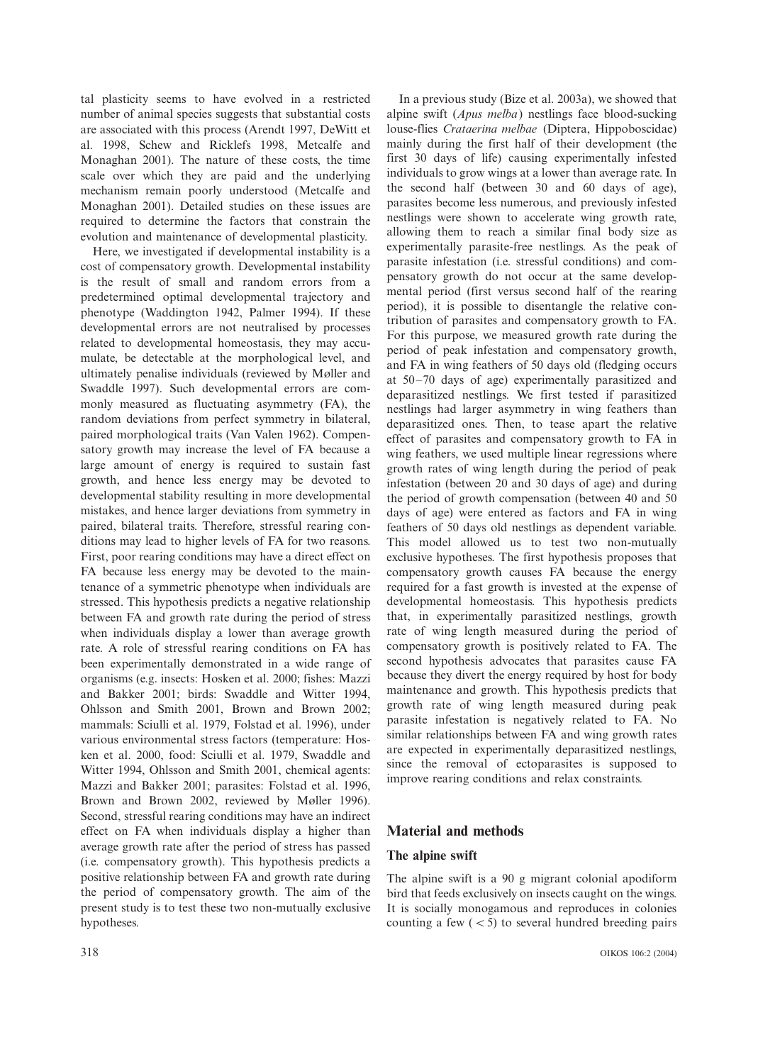tal plasticity seems to have evolved in a restricted number of animal species suggests that substantial costs are associated with this process (Arendt 1997, DeWitt et al. 1998, Schew and Ricklefs 1998, Metcalfe and Monaghan 2001). The nature of these costs, the time scale over which they are paid and the underlying mechanism remain poorly understood (Metcalfe and Monaghan 2001). Detailed studies on these issues are required to determine the factors that constrain the evolution and maintenance of developmental plasticity.

Here, we investigated if developmental instability is a cost of compensatory growth. Developmental instability is the result of small and random errors from a predetermined optimal developmental trajectory and phenotype (Waddington 1942, Palmer 1994). If these developmental errors are not neutralised by processes related to developmental homeostasis, they may accumulate, be detectable at the morphological level, and ultimately penalise individuals (reviewed by Møller and Swaddle 1997). Such developmental errors are commonly measured as fluctuating asymmetry (FA), the random deviations from perfect symmetry in bilateral, paired morphological traits (Van Valen 1962). Compensatory growth may increase the level of FA because a large amount of energy is required to sustain fast growth, and hence less energy may be devoted to developmental stability resulting in more developmental mistakes, and hence larger deviations from symmetry in paired, bilateral traits. Therefore, stressful rearing conditions may lead to higher levels of FA for two reasons. First, poor rearing conditions may have a direct effect on FA because less energy may be devoted to the maintenance of a symmetric phenotype when individuals are stressed. This hypothesis predicts a negative relationship between FA and growth rate during the period of stress when individuals display a lower than average growth rate. A role of stressful rearing conditions on FA has been experimentally demonstrated in a wide range of organisms (e.g. insects: Hosken et al. 2000; fishes: Mazzi and Bakker 2001; birds: Swaddle and Witter 1994, Ohlsson and Smith 2001, Brown and Brown 2002; mammals: Sciulli et al. 1979, Folstad et al. 1996), under various environmental stress factors (temperature: Hosken et al. 2000, food: Sciulli et al. 1979, Swaddle and Witter 1994, Ohlsson and Smith 2001, chemical agents: Mazzi and Bakker 2001; parasites: Folstad et al. 1996, Brown and Brown 2002, reviewed by Møller 1996). Second, stressful rearing conditions may have an indirect effect on FA when individuals display a higher than average growth rate after the period of stress has passed (i.e. compensatory growth). This hypothesis predicts a positive relationship between FA and growth rate during the period of compensatory growth. The aim of the present study is to test these two non-mutually exclusive hypotheses.

In a previous study (Bize et al. 2003a), we showed that alpine swift (Apus melba) nestlings face blood-sucking louse-flies Crataerina melbae (Diptera, Hippoboscidae) mainly during the first half of their development (the first 30 days of life) causing experimentally infested individuals to grow wings at a lower than average rate. In the second half (between 30 and 60 days of age), parasites become less numerous, and previously infested nestlings were shown to accelerate wing growth rate, allowing them to reach a similar final body size as experimentally parasite-free nestlings. As the peak of parasite infestation (i.e. stressful conditions) and compensatory growth do not occur at the same developmental period (first versus second half of the rearing period), it is possible to disentangle the relative contribution of parasites and compensatory growth to FA. For this purpose, we measured growth rate during the period of peak infestation and compensatory growth, and FA in wing feathers of 50 days old (fledging occurs at  $50-70$  days of age) experimentally parasitized and deparasitized nestlings. We first tested if parasitized nestlings had larger asymmetry in wing feathers than deparasitized ones. Then, to tease apart the relative effect of parasites and compensatory growth to FA in wing feathers, we used multiple linear regressions where growth rates of wing length during the period of peak infestation (between 20 and 30 days of age) and during the period of growth compensation (between 40 and 50 days of age) were entered as factors and FA in wing feathers of 50 days old nestlings as dependent variable. This model allowed us to test two non-mutually exclusive hypotheses. The first hypothesis proposes that compensatory growth causes FA because the energy required for a fast growth is invested at the expense of developmental homeostasis. This hypothesis predicts that, in experimentally parasitized nestlings, growth rate of wing length measured during the period of compensatory growth is positively related to FA. The second hypothesis advocates that parasites cause FA because they divert the energy required by host for body maintenance and growth. This hypothesis predicts that growth rate of wing length measured during peak parasite infestation is negatively related to FA. No similar relationships between FA and wing growth rates are expected in experimentally deparasitized nestlings, since the removal of ectoparasites is supposed to improve rearing conditions and relax constraints.

## Material and methods

#### The alpine swift

The alpine swift is a 90 g migrant colonial apodiform bird that feeds exclusively on insects caught on the wings. It is socially monogamous and reproduces in colonies counting a few  $(< 5)$  to several hundred breeding pairs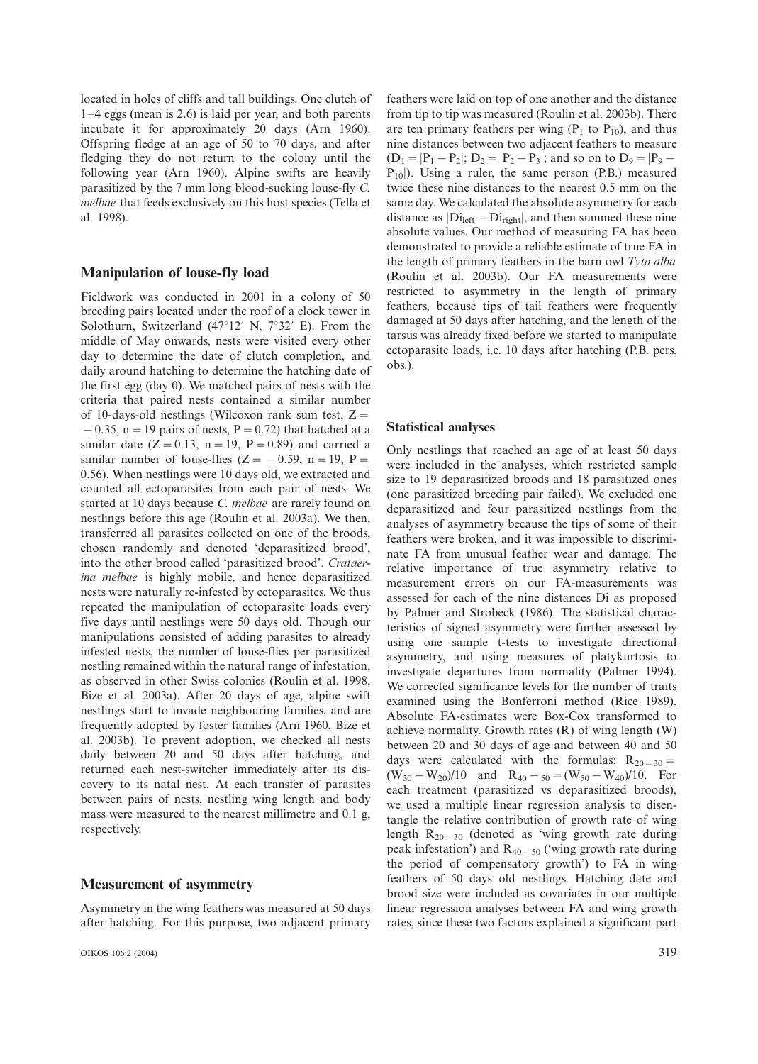located in holes of cliffs and tall buildings. One clutch of  $1-4$  eggs (mean is 2.6) is laid per year, and both parents incubate it for approximately 20 days (Arn 1960). Offspring fledge at an age of 50 to 70 days, and after fledging they do not return to the colony until the following year (Arn 1960). Alpine swifts are heavily parasitized by the 7 mm long blood-sucking louse-fly C. melbae that feeds exclusively on this host species (Tella et al. 1998).

## Manipulation of louse-fly load

Fieldwork was conducted in 2001 in a colony of 50 breeding pairs located under the roof of a clock tower in Solothurn, Switzerland (47 $\degree$ 12' N, 7 $\degree$ 32' E). From the middle of May onwards, nests were visited every other day to determine the date of clutch completion, and daily around hatching to determine the hatching date of the first egg (day 0). We matched pairs of nests with the criteria that paired nests contained a similar number of 10-days-old nestlings (Wilcoxon rank sum test,  $Z =$  $-0.35$ , n = 19 pairs of nests, P = 0.72) that hatched at a similar date ( $Z = 0.13$ , n = 19, P = 0.89) and carried a similar number of louse-flies ( $Z = -0.59$ , n = 19, P = 0.56). When nestlings were 10 days old, we extracted and counted all ectoparasites from each pair of nests. We started at 10 days because C. melbae are rarely found on nestlings before this age (Roulin et al. 2003a). We then, transferred all parasites collected on one of the broods, chosen randomly and denoted 'deparasitized brood', into the other brood called 'parasitized brood'. Crataerina melbae is highly mobile, and hence deparasitized nests were naturally re-infested by ectoparasites. We thus repeated the manipulation of ectoparasite loads every five days until nestlings were 50 days old. Though our manipulations consisted of adding parasites to already infested nests, the number of louse-flies per parasitized nestling remained within the natural range of infestation, as observed in other Swiss colonies (Roulin et al. 1998, Bize et al. 2003a). After 20 days of age, alpine swift nestlings start to invade neighbouring families, and are frequently adopted by foster families (Arn 1960, Bize et al. 2003b). To prevent adoption, we checked all nests daily between 20 and 50 days after hatching, and returned each nest-switcher immediately after its discovery to its natal nest. At each transfer of parasites between pairs of nests, nestling wing length and body mass were measured to the nearest millimetre and 0.1 g, respectively.

### Measurement of asymmetry

Asymmetry in the wing feathers was measured at 50 days after hatching. For this purpose, two adjacent primary

OIKOS 106:2 (2004) 319

feathers were laid on top of one another and the distance from tip to tip was measured (Roulin et al. 2003b). There are ten primary feathers per wing  $(P_1$  to  $P_{10}$ ), and thus nine distances between two adjacent feathers to measure  $(D_1=|P_1-P_2|; D_2=|P_2-P_3|;$  and so on to  $D_9=|P_9 P_{10}$ ). Using a ruler, the same person (P.B.) measured twice these nine distances to the nearest 0.5 mm on the same day. We calculated the absolute asymmetry for each distance as  $|Di<sub>left</sub> - Di<sub>right</sub>|$ , and then summed these nine absolute values. Our method of measuring FA has been demonstrated to provide a reliable estimate of true FA in the length of primary feathers in the barn owl Tyto alba (Roulin et al. 2003b). Our FA measurements were restricted to asymmetry in the length of primary feathers, because tips of tail feathers were frequently damaged at 50 days after hatching, and the length of the tarsus was already fixed before we started to manipulate ectoparasite loads, i.e. 10 days after hatching (P.B. pers. obs.).

#### Statistical analyses

Only nestlings that reached an age of at least 50 days were included in the analyses, which restricted sample size to 19 deparasitized broods and 18 parasitized ones (one parasitized breeding pair failed). We excluded one deparasitized and four parasitized nestlings from the analyses of asymmetry because the tips of some of their feathers were broken, and it was impossible to discriminate FA from unusual feather wear and damage. The relative importance of true asymmetry relative to measurement errors on our FA-measurements was assessed for each of the nine distances Di as proposed by Palmer and Strobeck (1986). The statistical characteristics of signed asymmetry were further assessed by using one sample t-tests to investigate directional asymmetry, and using measures of platykurtosis to investigate departures from normality (Palmer 1994). We corrected significance levels for the number of traits examined using the Bonferroni method (Rice 1989). Absolute FA-estimates were Box-Cox transformed to achieve normality. Growth rates (R) of wing length (W) between 20 and 30 days of age and between 40 and 50 days were calculated with the formulas:  $R_{20-30}$  =  $(W_{30} - W_{20})/10$  and  $R_{40} - S_{0} = (W_{50} - W_{40})/10$ . For each treatment (parasitized vs deparasitized broods), we used a multiple linear regression analysis to disentangle the relative contribution of growth rate of wing length  $R_{20-30}$  (denoted as 'wing growth rate during peak infestation') and  $R_{40-50}$  ('wing growth rate during the period of compensatory growth') to FA in wing feathers of 50 days old nestlings. Hatching date and brood size were included as covariates in our multiple linear regression analyses between FA and wing growth rates, since these two factors explained a significant part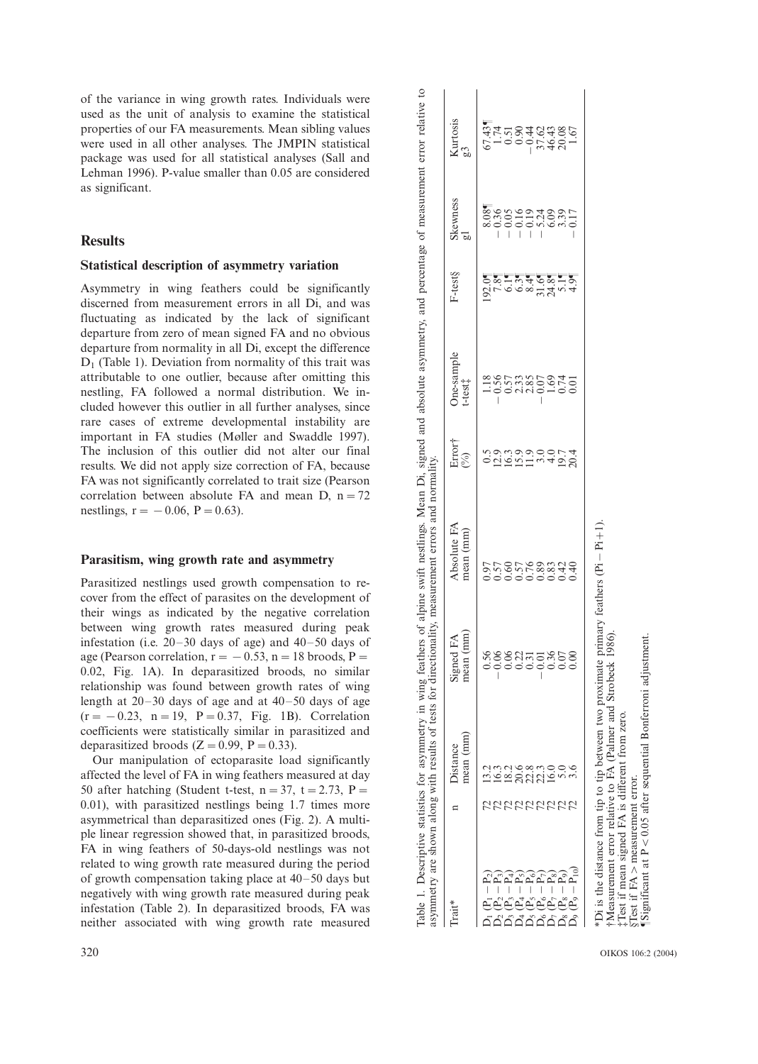of the variance in wing growth rates. Individuals were used as the unit of analysis to examine the statistical properties of our FA measurements. Mean sibling values were used in all other analyses. The JMPIN statistical package was used for all statistical analyses (Sall and Lehman 1996). P-value smaller than 0.05 are considered as significant.

## **Results**

## Statistical description of asymmetry variation

Asymmetry in wing feathers could be significantly discerned from measurement errors in all Di, and was fluctuating as indicated by the lack of significant departure from zero of mean signed FA and no obvious departure from normality in all Di, except the difference  $D_1$  (Table 1). Deviation from normality of this trait was attributable to one outlier, because after omitting this nestling, FA followed a normal distribution. We included however this outlier in all further analyses, since rare cases of extreme developmental instability are important in FA studies (Møller and Swaddle 1997). The inclusion of this outlier did not alter our final results. We did not apply size correction of FA, because FA was not significantly correlated to trait size (Pearson correlation between absolute FA and mean D,  $n = 72$ nestlings,  $r = -0.06$ ,  $P = 0.63$ ).

#### Parasitism, wing growth rate and asymmetry

Parasitized nestlings used growth compensation to recover from the effect of parasites on the development of their wings as indicated by the negative correlation between wing growth rates measured during peak infestation (i.e.  $20-30$  days of age) and  $40-50$  days of age (Pearson correlation,  $r = -0.53$ ,  $n = 18$  broods, P = 0.02, Fig. 1A). In deparasitized broods, no similar relationship was found between growth rates of wing length at  $20-30$  days of age and at  $40-50$  days of age  $(r = -0.23, n = 19, P = 0.37, Fig. 1B)$ . Correlation coefficients were statistically similar in parasitized and deparasitized broods  $(Z = 0.99, P = 0.33)$ .

Our manipulation of ectoparasite load significantly affected the level of FA in wing feathers measured at day 50 after hatching (Student t-test,  $n=37$ ,  $t=2.73$ ,  $P=$ 0.01), with parasitized nestlings being 1.7 times more asymmetrical than deparasitized ones (Fig. 2). A multiple linear regression showed that, in parasitized broods, FA in wing feathers of 50-days-old nestlings was not related to wing growth rate measured during the period of growth compensation taking place at  $40-50$  days but negatively with wing growth rate measured during peak infestation (Table 2). In deparasitized broods, FA was neither associated with wing growth rate measured Table 1. Descriptive statistics for asymmetry in wing feathers of alpine swift nestlings. Mean Di, signed and absolute asymmetry, and percentage of measurement error relative asymmetry are shown along with results of tests Kurtosis g3 19.2 12.2 12.2 12.2 12.2 12.2 12.2 12.3 12.2 12.3 14.5" 12.2 12.2 12.2 12.2 12.3 12.2 12.3 12.2 12.3 14.5" 14.5"  $-0.56$   $-0.36$   $-0.36$  $(5.2 \t3.2 \t4.2)$   $(0.60 \t3.2 \t5.2)$   $(0.60 \t3.2 \t5.2)$   $(0.60 \t3.2 \t5.2)$   $(0.60 \t3.2 \t5.2)$ Skewness<br>g1 F-test§ Skewness  $05$ F-test§ One-sample t-test<br>  $\ddagger$ One-sample Error†<br>(%) 02009  $-0.06$  0.57 12.9 asymmetry are shown along with results of tests for directionality, measurement errors and normality.  $\begin{array}{c} \textrm{Absolute FA} \\ \textrm{mean (mm)} \end{array}$ Absolute FA mean (mm)  $0.57$  $0.97$ Signed FA<br>mean (mm) mean (mm) 0.06 Distance<br>mean (mm) mean (mm) Trait\* n Distance  $(2 - P_3)$  72 16.3 RRRRRRRRR  $\Box$  $\mathrm{Trait}^*$  $\sim$ e. <u>م م</u>

/P5) 72 20.6 0.22 0.57 15.9 2.33 6.3' /0.16 0.90

/P6) 72 22.8 0.31 0.76 11.9 2.85 8.4' /0.19

 $-0.01$  0.01 0.00 0.89  $-$ 

52833

/P8) 72 16.0 0.36 0.83 4.0 1.69 24.8' 6.09 46.43

 $-0.44$ 

 $\frac{1}{1}$ 

2.85  $\mathcal{S}$  $0.07$ 

 $\overline{16}$ 

 $\mathbf{c}$  $\epsilon$   $0.08$ 

ξ

 $-0.07$  31.6 $-5.24$ 

 $\frac{8}{4}$ 

 $\overline{0}$ 

 $\overline{0}$ 39

Table 1. Descriptive statistics for asymmetry in wing feathers of alpine swift nestlings. Mean Di, signed and absolute asymmetry, and percentage of measurement error relative to

 $\circ$ 

 /P9) 72 5.0 0.07 0.42 19.7 0.74 5.1' 3.39 20.08 /P10) 72 3.6 0.00 0.40 20.4 0.01 4.9' /0.17 1.67  $495$ <br>0 L 4 /1). /Pi \*Di is the distance from tip to tip between two proximate primary feathers (Pi FMeasurement error relative to FA (Palmer and Strobeck 1986). \$Measurement error relative to FA (Palmer and Strobeck 1986). Test if mean signed FA is different from zero.<br>
STest if FA > measurement error.<br>
ISignificant at P < 0.05 after sequential Bonferroni adjustment. %Test if mean signed FA is different from zero.  $^{\circ}$ dadada<br>Pereeree

4 70 70 7

 $\widetilde{\mathtt{P}}_{\mathtt{R}}$  $\overline{\phantom{a}}$ 

 $\overline{D}_9$ 

 $(6 - P_7)$  72 22.3

23<br>16.0

320 OIKOS 106:2 (2004)

§Test if FA

'Significant at P

/measurement error.

 $<$  0.05 after sequential Bonferroni adjustment.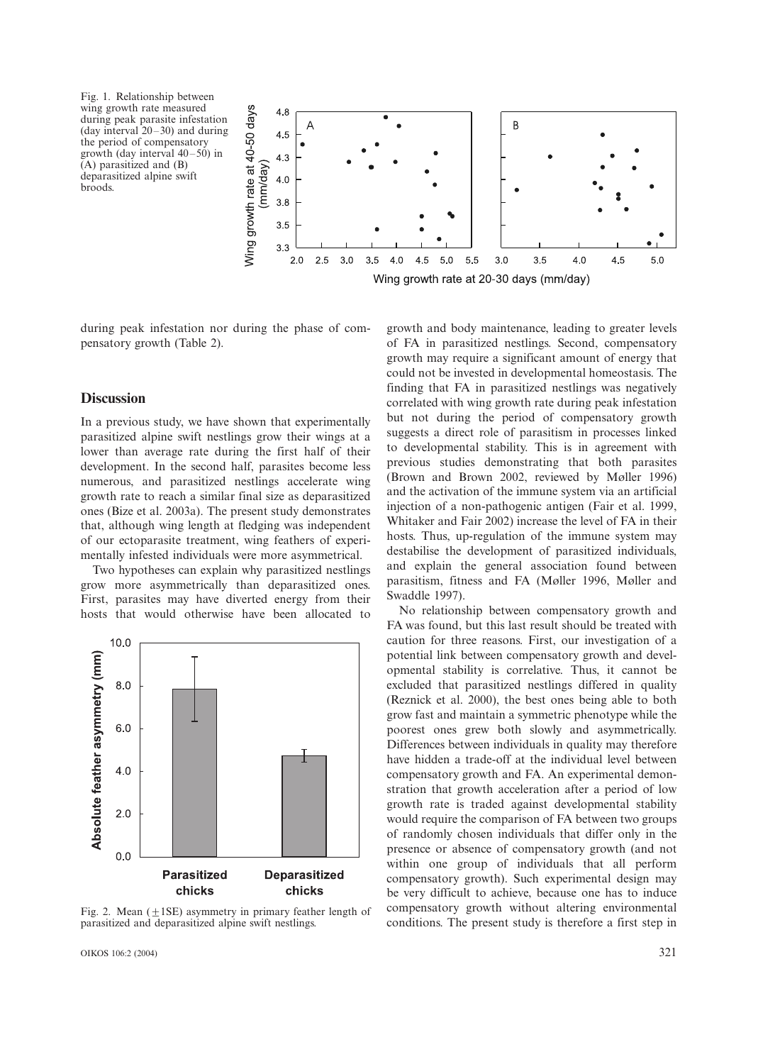Fig. 1. Relationship between wing growth rate measured during peak parasite infestation (day interval  $20-30$ ) and during the period of compensatory growth (day interval  $40-50$ ) in (A) parasitized and (B) deparasitized alpine swift broods.



during peak infestation nor during the phase of compensatory growth (Table 2).

#### **Discussion**

In a previous study, we have shown that experimentally parasitized alpine swift nestlings grow their wings at a lower than average rate during the first half of their development. In the second half, parasites become less numerous, and parasitized nestlings accelerate wing growth rate to reach a similar final size as deparasitized ones (Bize et al. 2003a). The present study demonstrates that, although wing length at fledging was independent of our ectoparasite treatment, wing feathers of experimentally infested individuals were more asymmetrical.

Two hypotheses can explain why parasitized nestlings grow more asymmetrically than deparasitized ones. First, parasites may have diverted energy from their hosts that would otherwise have been allocated to



Fig. 2. Mean  $(+1SE)$  asymmetry in primary feather length of parasitized and deparasitized alpine swift nestlings.

OIKOS 106:2 (2004) 321

growth and body maintenance, leading to greater levels of FA in parasitized nestlings. Second, compensatory growth may require a significant amount of energy that could not be invested in developmental homeostasis. The finding that FA in parasitized nestlings was negatively correlated with wing growth rate during peak infestation but not during the period of compensatory growth suggests a direct role of parasitism in processes linked to developmental stability. This is in agreement with previous studies demonstrating that both parasites (Brown and Brown 2002, reviewed by Møller 1996) and the activation of the immune system via an artificial injection of a non-pathogenic antigen (Fair et al. 1999, Whitaker and Fair 2002) increase the level of FA in their hosts. Thus, up-regulation of the immune system may destabilise the development of parasitized individuals, and explain the general association found between parasitism, fitness and FA (Møller 1996, Møller and Swaddle 1997).

No relationship between compensatory growth and FA was found, but this last result should be treated with caution for three reasons. First, our investigation of a potential link between compensatory growth and developmental stability is correlative. Thus, it cannot be excluded that parasitized nestlings differed in quality (Reznick et al. 2000), the best ones being able to both grow fast and maintain a symmetric phenotype while the poorest ones grew both slowly and asymmetrically. Differences between individuals in quality may therefore have hidden a trade-off at the individual level between compensatory growth and FA. An experimental demonstration that growth acceleration after a period of low growth rate is traded against developmental stability would require the comparison of FA between two groups of randomly chosen individuals that differ only in the presence or absence of compensatory growth (and not within one group of individuals that all perform compensatory growth). Such experimental design may be very difficult to achieve, because one has to induce compensatory growth without altering environmental conditions. The present study is therefore a first step in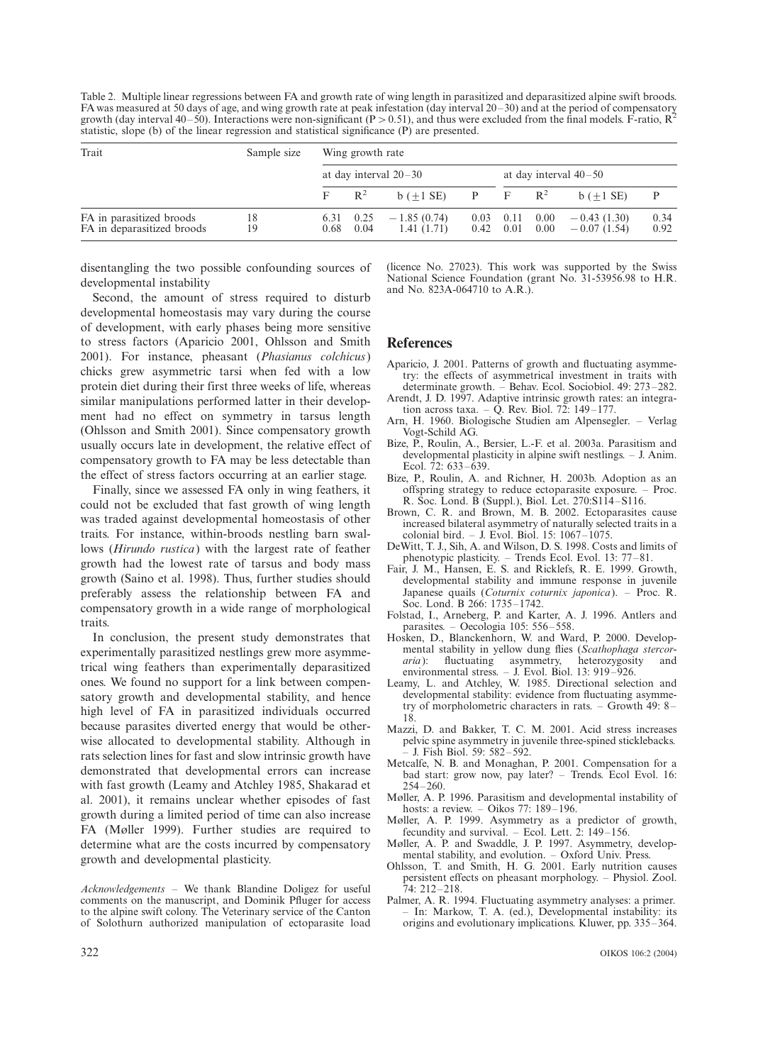Table 2. Multiple linear regressions between FA and growth rate of wing length in parasitized and deparasitized alpine swift broods. FA was measured at 50 days of age, and wing growth rate at peak infestation (day interval 20-30) and at the period of compensatory growth (day interval 40–50). Interactions were non-significant (P > 0.51), and thus were excluded from the final models. F-ratio,  $R^2$ statistic, slope (b) of the linear regression and statistical significance (P) are presented.

| Trait                                                  | Sample size | Wing growth rate        |              |                                           |      |                           |                  |                                |              |
|--------------------------------------------------------|-------------|-------------------------|--------------|-------------------------------------------|------|---------------------------|------------------|--------------------------------|--------------|
|                                                        |             | at day interval $20-30$ |              |                                           |      | at day interval $40-50$   |                  |                                |              |
|                                                        |             | $F \t R^2$              |              | $b (\pm 1 \text{ SE})$ P F R <sup>2</sup> |      |                           |                  | $b (+1 SE)$                    | P            |
| FA in parasitized broods<br>FA in deparasitized broods | 18<br>19    | 6.31<br>0.68            | 0.25<br>0.04 | $-1.85(0.74)$<br>1.41(1.71)               | 0.03 | 0.11<br>$0.42 \quad 0.01$ | 0.00<br>$0.00\,$ | $-0.43(1.30)$<br>$-0.07(1.54)$ | 0.34<br>0.92 |

disentangling the two possible confounding sources of developmental instability

Second, the amount of stress required to disturb developmental homeostasis may vary during the course of development, with early phases being more sensitive to stress factors (Aparicio 2001, Ohlsson and Smith 2001). For instance, pheasant (Phasianus colchicus) chicks grew asymmetric tarsi when fed with a low protein diet during their first three weeks of life, whereas similar manipulations performed latter in their development had no effect on symmetry in tarsus length (Ohlsson and Smith 2001). Since compensatory growth usually occurs late in development, the relative effect of compensatory growth to FA may be less detectable than the effect of stress factors occurring at an earlier stage.

Finally, since we assessed FA only in wing feathers, it could not be excluded that fast growth of wing length was traded against developmental homeostasis of other traits. For instance, within-broods nestling barn swallows (Hirundo rustica) with the largest rate of feather growth had the lowest rate of tarsus and body mass growth (Saino et al. 1998). Thus, further studies should preferably assess the relationship between FA and compensatory growth in a wide range of morphological traits.

In conclusion, the present study demonstrates that experimentally parasitized nestlings grew more asymmetrical wing feathers than experimentally deparasitized ones. We found no support for a link between compensatory growth and developmental stability, and hence high level of FA in parasitized individuals occurred because parasites diverted energy that would be otherwise allocated to developmental stability. Although in rats selection lines for fast and slow intrinsic growth have demonstrated that developmental errors can increase with fast growth (Leamy and Atchley 1985, Shakarad et al. 2001), it remains unclear whether episodes of fast growth during a limited period of time can also increase FA (Møller 1999). Further studies are required to determine what are the costs incurred by compensatory growth and developmental plasticity.

 $Acknowledgements$  – We thank Blandine Doligez for useful comments on the manuscript, and Dominik Pfluger for access to the alpine swift colony. The Veterinary service of the Canton of Solothurn authorized manipulation of ectoparasite load (licence No. 27023). This work was supported by the Swiss National Science Foundation (grant No. 31-53956.98 to H.R. and No. 823A-064710 to A.R.).

#### References

- Aparicio, J. 2001. Patterns of growth and fluctuating asymmetry: the effects of asymmetrical investment in traits with determinate growth.  $-$  Behav. Ecol. Sociobiol. 49: 273-282.
- Arendt, J. D. 1997. Adaptive intrinsic growth rates: an integration across taxa. – Q. Rev. Biol. 72: 149–177.
- Arn, H. 1960. Biologische Studien am Alpensegler. Verlag Vogt-Schild AG.
- Bize, P., Roulin, A., Bersier, L.-F. et al. 2003a. Parasitism and developmental plasticity in alpine swift nestlings.  $-$  J. Anim. Ecol.  $72: 633-639$ .
- Bize, P., Roulin, A. and Richner, H. 2003b. Adoption as an offspring strategy to reduce ectoparasite exposure.  $-$  Proc. R. Soc. Lond. B (Suppl.), Biol. Let.  $270:Si14-S116$ .
- Brown, C. R. and Brown, M. B. 2002. Ectoparasites cause increased bilateral asymmetry of naturally selected traits in a colonial bird. - J. Evol. Biol. 15:  $1067-1075$ .
- DeWitt, T. J., Sih, A. and Wilson, D. S. 1998. Costs and limits of phenotypic plasticity. - Trends Ecol. Evol. 13: 77-81.
- Fair, J. M., Hansen, E. S. and Ricklefs, R. E. 1999. Growth, developmental stability and immune response in juvenile Japanese quails (*Coturnix coturnix japonica*). - Proc. R. Soc. Lond. B 266: 1735-1742.
- Folstad, I., Arneberg, P. and Karter, A. J. 1996. Antlers and parasites.  $-$  Oecologia 105: 556-558.
- Hosken, D., Blanckenhorn, W. and Ward, P. 2000. Developmental stability in yellow dung flies (Scathophaga stercoraria): fluctuating asymmetry, heterozygosity and environmental stress.  $-$  J. Evol. Biol. 13: 919-926.
- Leamy, L. and Atchley, W. 1985. Directional selection and developmental stability: evidence from fluctuating asymmetry of morpholometric characters in rats.  $-$  Growth 49: 8– 18.
- Mazzi, D. and Bakker, T. C. M. 2001. Acid stress increases pelvic spine asymmetry in juvenile three-spined sticklebacks. J. Fish Biol. 59: 582-592.
- Metcalfe, N. B. and Monaghan, P. 2001. Compensation for a bad start: grow now, pay later? - Trends. Ecol Evol. 16:  $254 - 260.$
- Møller, A. P. 1996. Parasitism and developmental instability of hosts: a review.  $-$  Oikos 77: 189-196.
- Møller, A. P. 1999. Asymmetry as a predictor of growth, fecundity and survival. – Ecol. Lett.  $\overline{2}$ : 149–156.
- Møller, A. P. and Swaddle, J. P. 1997. Asymmetry, developmental stability, and evolution. - Oxford Univ. Press.
- Ohlsson, T. and Smith, H. G. 2001. Early nutrition causes persistent effects on pheasant morphology. - Physiol. Zool. <sup>7</sup>4: 212–218.
- Palmer, A. R. 1994. Fluctuating asymmetry analyses: a primer. - In: Markow, T. A. (ed.), Developmental instability: its origins and evolutionary implications. Kluwer, pp. 335-364.